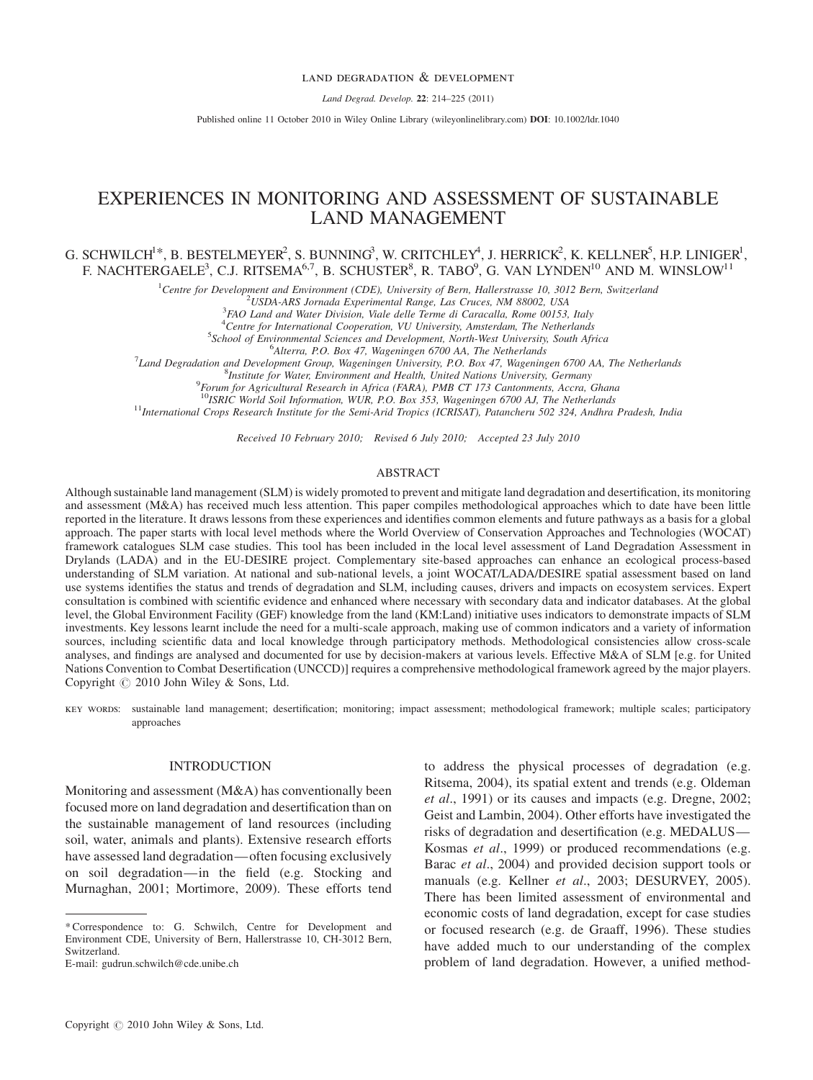#### land degradation & development

Land Degrad. Develop. 22: 214–225 (2011)

Published online 11 October 2010 in Wiley Online Library (wileyonlinelibrary.com) DOI: 10.1002/ldr.1040

# EXPERIENCES IN MONITORING AND ASSESSMENT OF SUSTAINABLE LAND MANAGEMENT

## G. SCHWILCH $^{\rm l*}$ , B. BESTELMEYER $^2$ , S. BUNNING $^3$ , W. CRITCHLEY $^4$ , J. HERRICK $^2$ , K. KELLNER $^5$ , H.P. LINIGER $^{\rm l}$ , F. NACHTERGAELE<sup>3</sup>, C.J. RITSEMA<sup>6,7</sup>, B. SCHUSTER $^8$ , R. TABO $^9$ , G. VAN LYNDEN $^{10}$  AND M. WINSLOW $^{11}$

<sup>1</sup>Centre for Development and Environment (CDE), University of Bern, Hallerstrasse 10, 3012 Bern, Switzerland<br><sup>2</sup>USDA ARS Jornada Experimental Bange Las Cruces NM 88002 USA

 $^{2}$ USDA-ARS Jornada Experimental Range, Las Cruces, NM 88002, USA

<sup>3</sup>FAO Land and Water Division, Viale delle Terme di Caracalla, Rome 00153, Italy

<sup>4</sup> Centre for International Cooperation, VU University, Amsterdam, The Netherlands

 ${}^{5}$ School of Environmental Sciences and Development, North-West University, South Africa  ${}^{6}$ Alterra, P.O. Box 47, Wageningen 6700 AA, The Netherlands

<sup>6</sup> Alterra, P.O. Box 47, Wageningen 6700 AA, The Netherlands<br><sup>7</sup>Land Degradation and Development Group, Wageningen University, P.O. Box 47, Wagening

Land Degradation and Development Group, Wageningen University, P.O. Box 47, Wageningen 6700 AA, The Netherlands<br><sup>8</sup>Institute for Water Emvironment and Health United Nations University Germany

<sup>8</sup> Institute for Water, Environment and Health, United Nations University, Germany<br><sup>9</sup> Forum for Agricultural Research in Africa (FARA), PMB CT 173 Cantonments, Accra, Ghana

<sup>10</sup>ISRIC World Soil Information, WUR, P.O. Box 353, Wageningen 6700 AJ, The Netherlands<br><sup>11</sup>International Crops Research Institute for the Semi-Arid Tropics (ICRISAT), Patancheru 502 324, Andhra Pradesh, India

Received 10 February 2010; Revised 6 July 2010; Accepted 23 July 2010

### ABSTRACT

Although sustainable land management (SLM) is widely promoted to prevent and mitigate land degradation and desertification, its monitoring and assessment (M&A) has received much less attention. This paper compiles methodological approaches which to date have been little reported in the literature. It draws lessons from these experiences and identifies common elements and future pathways as a basis for a global approach. The paper starts with local level methods where the World Overview of Conservation Approaches and Technologies (WOCAT) framework catalogues SLM case studies. This tool has been included in the local level assessment of Land Degradation Assessment in Drylands (LADA) and in the EU-DESIRE project. Complementary site-based approaches can enhance an ecological process-based understanding of SLM variation. At national and sub-national levels, a joint WOCAT/LADA/DESIRE spatial assessment based on land use systems identifies the status and trends of degradation and SLM, including causes, drivers and impacts on ecosystem services. Expert consultation is combined with scientific evidence and enhanced where necessary with secondary data and indicator databases. At the global level, the Global Environment Facility (GEF) knowledge from the land (KM:Land) initiative uses indicators to demonstrate impacts of SLM investments. Key lessons learnt include the need for a multi-scale approach, making use of common indicators and a variety of information sources, including scientific data and local knowledge through participatory methods. Methodological consistencies allow cross-scale analyses, and findings are analysed and documented for use by decision-makers at various levels. Effective M&A of SLM [e.g. for United Nations Convention to Combat Desertification (UNCCD)] requires a comprehensive methodological framework agreed by the major players. Copyright  $\odot$  2010 John Wiley & Sons, Ltd.

key words: sustainable land management; desertification; monitoring; impact assessment; methodological framework; multiple scales; participatory approaches

### INTRODUCTION

Monitoring and assessment (M&A) has conventionally been focused more on land degradation and desertification than on the sustainable management of land resources (including soil, water, animals and plants). Extensive research efforts have assessed land degradation—often focusing exclusively on soil degradation—in the field (e.g. Stocking and Murnaghan, 2001; Mortimore, 2009). These efforts tend

to address the physical processes of degradation (e.g. Ritsema, 2004), its spatial extent and trends (e.g. Oldeman et al., 1991) or its causes and impacts (e.g. Dregne, 2002; Geist and Lambin, 2004). Other efforts have investigated the risks of degradation and desertification (e.g. MEDALUS— Kosmas et al., 1999) or produced recommendations (e.g. Barac et al., 2004) and provided decision support tools or manuals (e.g. Kellner et al., 2003; DESURVEY, 2005). There has been limited assessment of environmental and economic costs of land degradation, except for case studies or focused research (e.g. de Graaff, 1996). These studies have added much to our understanding of the complex problem of land degradation. However, a unified method-

<sup>\*</sup> Correspondence to: G. Schwilch, Centre for Development and Environment CDE, University of Bern, Hallerstrasse 10, CH-3012 Bern, Switzerland.

E-mail: gudrun.schwilch@cde.unibe.ch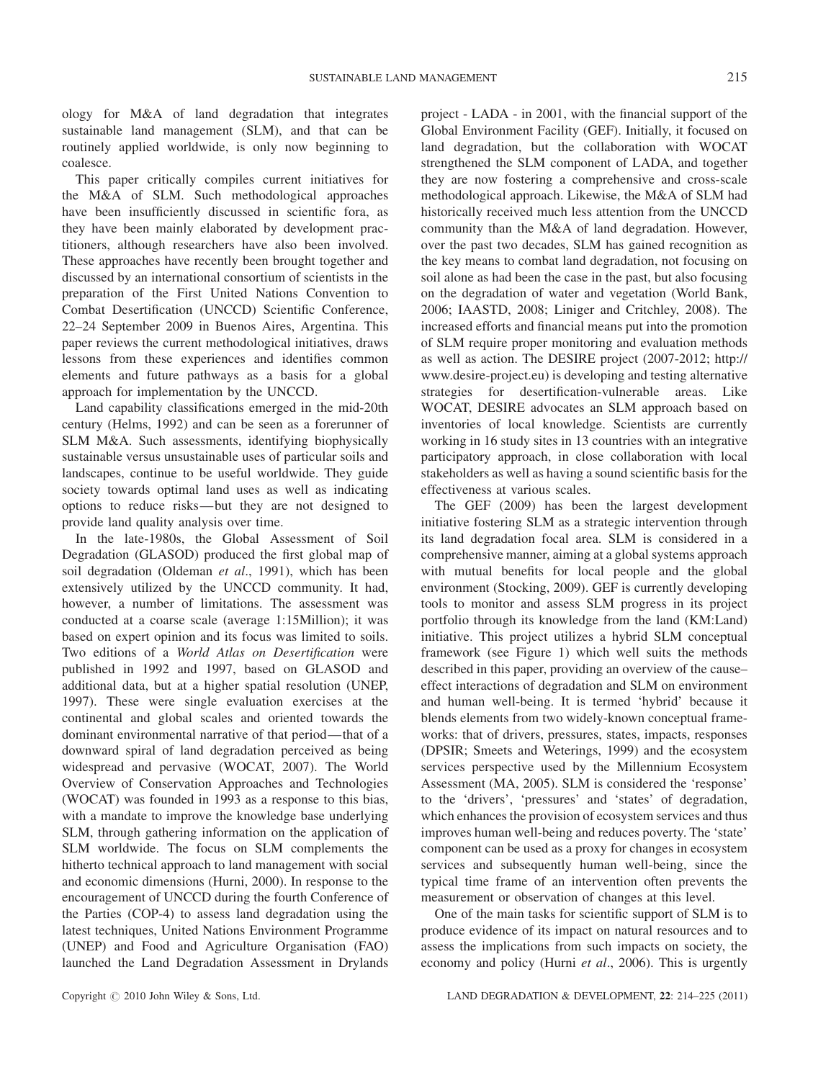ology for M&A of land degradation that integrates sustainable land management (SLM), and that can be routinely applied worldwide, is only now beginning to coalesce.

This paper critically compiles current initiatives for the M&A of SLM. Such methodological approaches have been insufficiently discussed in scientific fora, as they have been mainly elaborated by development practitioners, although researchers have also been involved. These approaches have recently been brought together and discussed by an international consortium of scientists in the preparation of the First United Nations Convention to Combat Desertification (UNCCD) Scientific Conference, 22–24 September 2009 in Buenos Aires, Argentina. This paper reviews the current methodological initiatives, draws lessons from these experiences and identifies common elements and future pathways as a basis for a global approach for implementation by the UNCCD.

Land capability classifications emerged in the mid-20th century (Helms, 1992) and can be seen as a forerunner of SLM M&A. Such assessments, identifying biophysically sustainable versus unsustainable uses of particular soils and landscapes, continue to be useful worldwide. They guide society towards optimal land uses as well as indicating options to reduce risks—but they are not designed to provide land quality analysis over time.

In the late-1980s, the Global Assessment of Soil Degradation (GLASOD) produced the first global map of soil degradation (Oldeman et al., 1991), which has been extensively utilized by the UNCCD community. It had, however, a number of limitations. The assessment was conducted at a coarse scale (average 1:15Million); it was based on expert opinion and its focus was limited to soils. Two editions of a World Atlas on Desertification were published in 1992 and 1997, based on GLASOD and additional data, but at a higher spatial resolution (UNEP, 1997). These were single evaluation exercises at the continental and global scales and oriented towards the dominant environmental narrative of that period—that of a downward spiral of land degradation perceived as being widespread and pervasive (WOCAT, 2007). The World Overview of Conservation Approaches and Technologies (WOCAT) was founded in 1993 as a response to this bias, with a mandate to improve the knowledge base underlying SLM, through gathering information on the application of SLM worldwide. The focus on SLM complements the hitherto technical approach to land management with social and economic dimensions (Hurni, 2000). In response to the encouragement of UNCCD during the fourth Conference of the Parties (COP-4) to assess land degradation using the latest techniques, United Nations Environment Programme (UNEP) and Food and Agriculture Organisation (FAO) launched the Land Degradation Assessment in Drylands

project - LADA - in 2001, with the financial support of the Global Environment Facility (GEF). Initially, it focused on land degradation, but the collaboration with WOCAT strengthened the SLM component of LADA, and together they are now fostering a comprehensive and cross-scale methodological approach. Likewise, the M&A of SLM had historically received much less attention from the UNCCD community than the M&A of land degradation. However, over the past two decades, SLM has gained recognition as the key means to combat land degradation, not focusing on soil alone as had been the case in the past, but also focusing on the degradation of water and vegetation (World Bank, 2006; IAASTD, 2008; Liniger and Critchley, 2008). The increased efforts and financial means put into the promotion of SLM require proper monitoring and evaluation methods as well as action. The DESIRE project (2007-2012; http:// www.desire-project.eu) is developing and testing alternative strategies for desertification-vulnerable areas. Like WOCAT, DESIRE advocates an SLM approach based on inventories of local knowledge. Scientists are currently working in 16 study sites in 13 countries with an integrative participatory approach, in close collaboration with local stakeholders as well as having a sound scientific basis for the effectiveness at various scales.

The GEF (2009) has been the largest development initiative fostering SLM as a strategic intervention through its land degradation focal area. SLM is considered in a comprehensive manner, aiming at a global systems approach with mutual benefits for local people and the global environment (Stocking, 2009). GEF is currently developing tools to monitor and assess SLM progress in its project portfolio through its knowledge from the land (KM:Land) initiative. This project utilizes a hybrid SLM conceptual framework (see Figure 1) which well suits the methods described in this paper, providing an overview of the cause– effect interactions of degradation and SLM on environment and human well-being. It is termed 'hybrid' because it blends elements from two widely-known conceptual frameworks: that of drivers, pressures, states, impacts, responses (DPSIR; Smeets and Weterings, 1999) and the ecosystem services perspective used by the Millennium Ecosystem Assessment (MA, 2005). SLM is considered the 'response' to the 'drivers', 'pressures' and 'states' of degradation, which enhances the provision of ecosystem services and thus improves human well-being and reduces poverty. The 'state' component can be used as a proxy for changes in ecosystem services and subsequently human well-being, since the typical time frame of an intervention often prevents the measurement or observation of changes at this level.

One of the main tasks for scientific support of SLM is to produce evidence of its impact on natural resources and to assess the implications from such impacts on society, the economy and policy (Hurni et al., 2006). This is urgently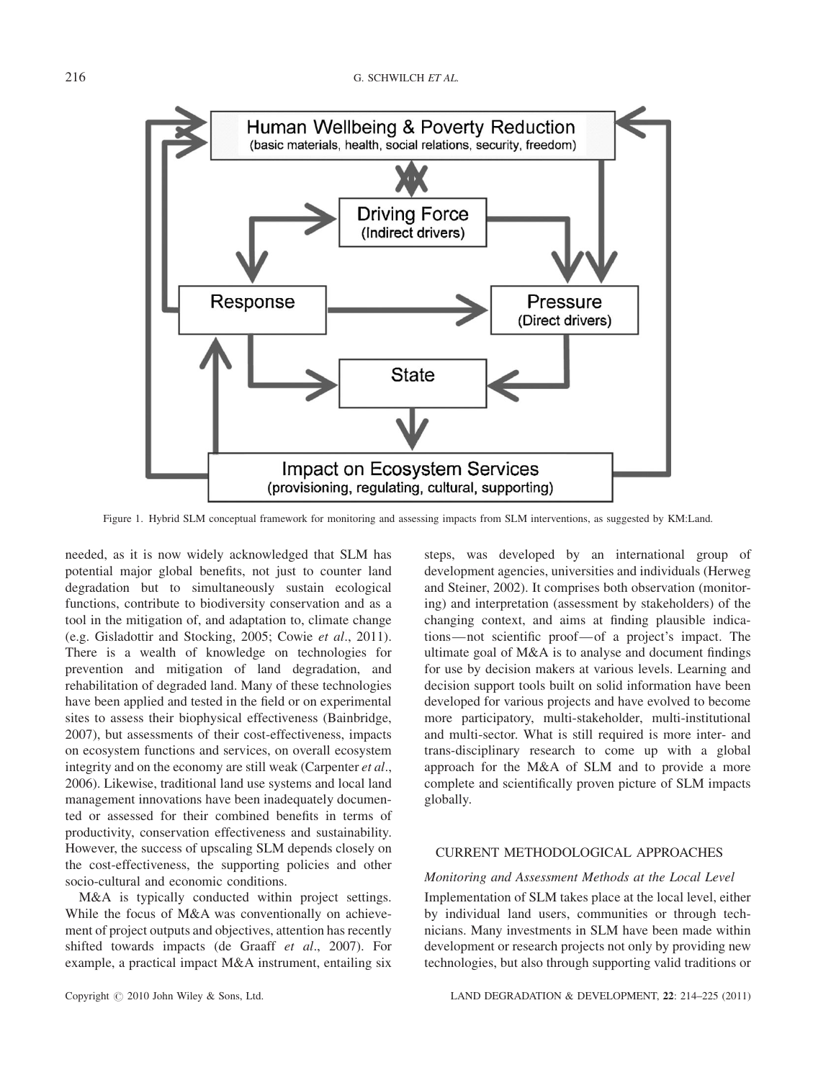

Figure 1. Hybrid SLM conceptual framework for monitoring and assessing impacts from SLM interventions, as suggested by KM:Land.

needed, as it is now widely acknowledged that SLM has potential major global benefits, not just to counter land degradation but to simultaneously sustain ecological functions, contribute to biodiversity conservation and as a tool in the mitigation of, and adaptation to, climate change (e.g. Gisladottir and Stocking, 2005; Cowie et al., 2011). There is a wealth of knowledge on technologies for prevention and mitigation of land degradation, and rehabilitation of degraded land. Many of these technologies have been applied and tested in the field or on experimental sites to assess their biophysical effectiveness (Bainbridge, 2007), but assessments of their cost-effectiveness, impacts on ecosystem functions and services, on overall ecosystem integrity and on the economy are still weak (Carpenter et al., 2006). Likewise, traditional land use systems and local land management innovations have been inadequately documented or assessed for their combined benefits in terms of productivity, conservation effectiveness and sustainability. However, the success of upscaling SLM depends closely on the cost-effectiveness, the supporting policies and other socio-cultural and economic conditions.

M&A is typically conducted within project settings. While the focus of M&A was conventionally on achievement of project outputs and objectives, attention has recently shifted towards impacts (de Graaff et al., 2007). For example, a practical impact M&A instrument, entailing six

steps, was developed by an international group of development agencies, universities and individuals (Herweg and Steiner, 2002). It comprises both observation (monitoring) and interpretation (assessment by stakeholders) of the changing context, and aims at finding plausible indications—not scientific proof—of a project's impact. The ultimate goal of M&A is to analyse and document findings for use by decision makers at various levels. Learning and decision support tools built on solid information have been developed for various projects and have evolved to become more participatory, multi-stakeholder, multi-institutional and multi-sector. What is still required is more inter- and trans-disciplinary research to come up with a global approach for the M&A of SLM and to provide a more complete and scientifically proven picture of SLM impacts globally.

### CURRENT METHODOLOGICAL APPROACHES

### Monitoring and Assessment Methods at the Local Level

Implementation of SLM takes place at the local level, either by individual land users, communities or through technicians. Many investments in SLM have been made within development or research projects not only by providing new technologies, but also through supporting valid traditions or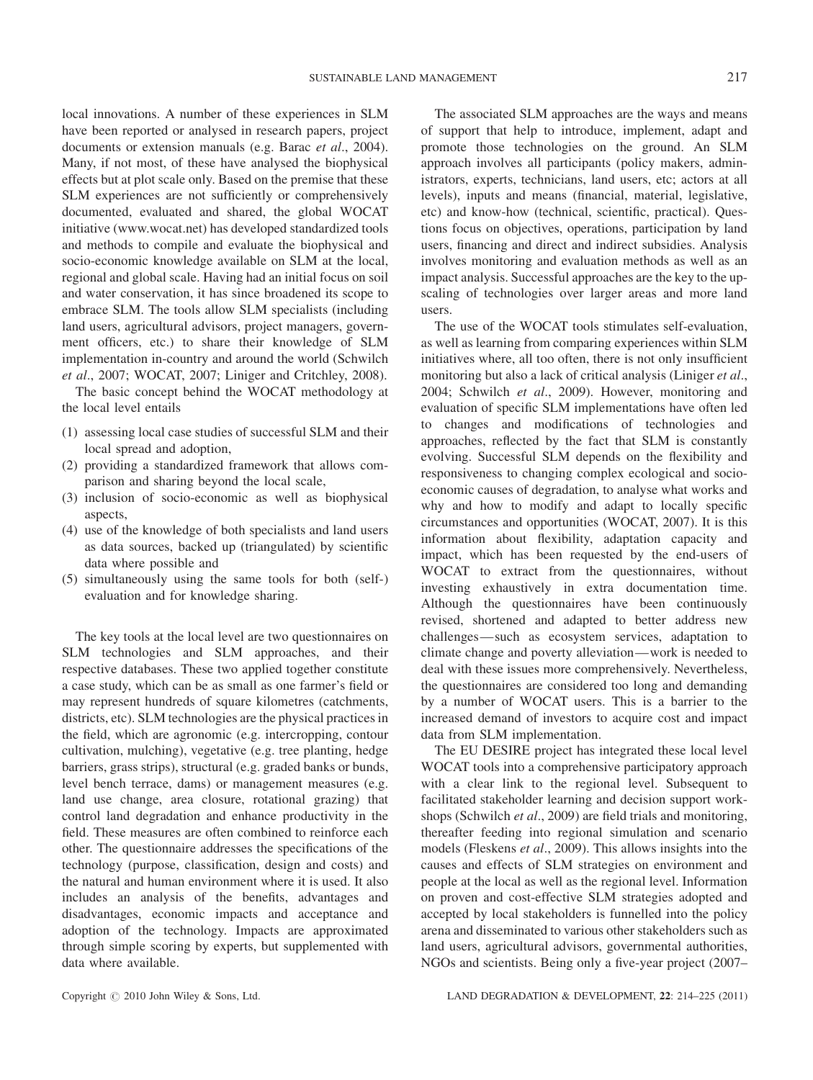local innovations. A number of these experiences in SLM have been reported or analysed in research papers, project documents or extension manuals (e.g. Barac et al., 2004). Many, if not most, of these have analysed the biophysical effects but at plot scale only. Based on the premise that these SLM experiences are not sufficiently or comprehensively documented, evaluated and shared, the global WOCAT initiative (www.wocat.net) has developed standardized tools and methods to compile and evaluate the biophysical and socio-economic knowledge available on SLM at the local, regional and global scale. Having had an initial focus on soil and water conservation, it has since broadened its scope to embrace SLM. The tools allow SLM specialists (including land users, agricultural advisors, project managers, government officers, etc.) to share their knowledge of SLM implementation in-country and around the world (Schwilch et al., 2007; WOCAT, 2007; Liniger and Critchley, 2008).

The basic concept behind the WOCAT methodology at the local level entails

- (1) assessing local case studies of successful SLM and their local spread and adoption,
- (2) providing a standardized framework that allows comparison and sharing beyond the local scale,
- (3) inclusion of socio-economic as well as biophysical aspects,
- (4) use of the knowledge of both specialists and land users as data sources, backed up (triangulated) by scientific data where possible and
- (5) simultaneously using the same tools for both (self-) evaluation and for knowledge sharing.

The key tools at the local level are two questionnaires on SLM technologies and SLM approaches, and their respective databases. These two applied together constitute a case study, which can be as small as one farmer's field or may represent hundreds of square kilometres (catchments, districts, etc). SLM technologies are the physical practices in the field, which are agronomic (e.g. intercropping, contour cultivation, mulching), vegetative (e.g. tree planting, hedge barriers, grass strips), structural (e.g. graded banks or bunds, level bench terrace, dams) or management measures (e.g. land use change, area closure, rotational grazing) that control land degradation and enhance productivity in the field. These measures are often combined to reinforce each other. The questionnaire addresses the specifications of the technology (purpose, classification, design and costs) and the natural and human environment where it is used. It also includes an analysis of the benefits, advantages and disadvantages, economic impacts and acceptance and adoption of the technology. Impacts are approximated through simple scoring by experts, but supplemented with data where available.

The associated SLM approaches are the ways and means of support that help to introduce, implement, adapt and promote those technologies on the ground. An SLM approach involves all participants (policy makers, administrators, experts, technicians, land users, etc; actors at all levels), inputs and means (financial, material, legislative, etc) and know-how (technical, scientific, practical). Questions focus on objectives, operations, participation by land users, financing and direct and indirect subsidies. Analysis involves monitoring and evaluation methods as well as an impact analysis. Successful approaches are the key to the upscaling of technologies over larger areas and more land users.

The use of the WOCAT tools stimulates self-evaluation, as well as learning from comparing experiences within SLM initiatives where, all too often, there is not only insufficient monitoring but also a lack of critical analysis (Liniger et al., 2004; Schwilch et al., 2009). However, monitoring and evaluation of specific SLM implementations have often led to changes and modifications of technologies and approaches, reflected by the fact that SLM is constantly evolving. Successful SLM depends on the flexibility and responsiveness to changing complex ecological and socioeconomic causes of degradation, to analyse what works and why and how to modify and adapt to locally specific circumstances and opportunities (WOCAT, 2007). It is this information about flexibility, adaptation capacity and impact, which has been requested by the end-users of WOCAT to extract from the questionnaires, without investing exhaustively in extra documentation time. Although the questionnaires have been continuously revised, shortened and adapted to better address new challenges—such as ecosystem services, adaptation to climate change and poverty alleviation—work is needed to deal with these issues more comprehensively. Nevertheless, the questionnaires are considered too long and demanding by a number of WOCAT users. This is a barrier to the increased demand of investors to acquire cost and impact data from SLM implementation.

The EU DESIRE project has integrated these local level WOCAT tools into a comprehensive participatory approach with a clear link to the regional level. Subsequent to facilitated stakeholder learning and decision support workshops (Schwilch et al., 2009) are field trials and monitoring, thereafter feeding into regional simulation and scenario models (Fleskens et al., 2009). This allows insights into the causes and effects of SLM strategies on environment and people at the local as well as the regional level. Information on proven and cost-effective SLM strategies adopted and accepted by local stakeholders is funnelled into the policy arena and disseminated to various other stakeholders such as land users, agricultural advisors, governmental authorities, NGOs and scientists. Being only a five-year project (2007–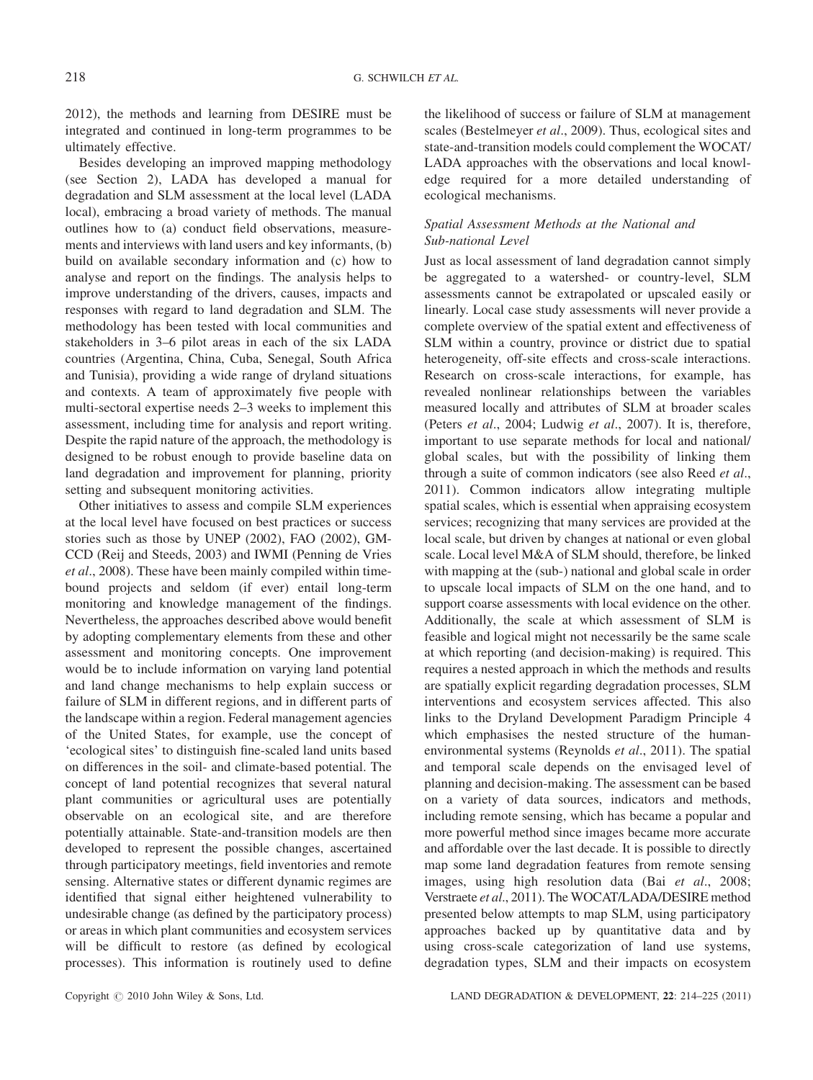2012), the methods and learning from DESIRE must be integrated and continued in long-term programmes to be ultimately effective.

Besides developing an improved mapping methodology (see Section 2), LADA has developed a manual for degradation and SLM assessment at the local level (LADA local), embracing a broad variety of methods. The manual outlines how to (a) conduct field observations, measurements and interviews with land users and key informants, (b) build on available secondary information and (c) how to analyse and report on the findings. The analysis helps to improve understanding of the drivers, causes, impacts and responses with regard to land degradation and SLM. The methodology has been tested with local communities and stakeholders in 3–6 pilot areas in each of the six LADA countries (Argentina, China, Cuba, Senegal, South Africa and Tunisia), providing a wide range of dryland situations and contexts. A team of approximately five people with multi-sectoral expertise needs 2–3 weeks to implement this assessment, including time for analysis and report writing. Despite the rapid nature of the approach, the methodology is designed to be robust enough to provide baseline data on land degradation and improvement for planning, priority setting and subsequent monitoring activities.

Other initiatives to assess and compile SLM experiences at the local level have focused on best practices or success stories such as those by UNEP (2002), FAO (2002), GM-CCD (Reij and Steeds, 2003) and IWMI (Penning de Vries et al., 2008). These have been mainly compiled within timebound projects and seldom (if ever) entail long-term monitoring and knowledge management of the findings. Nevertheless, the approaches described above would benefit by adopting complementary elements from these and other assessment and monitoring concepts. One improvement would be to include information on varying land potential and land change mechanisms to help explain success or failure of SLM in different regions, and in different parts of the landscape within a region. Federal management agencies of the United States, for example, use the concept of 'ecological sites' to distinguish fine-scaled land units based on differences in the soil- and climate-based potential. The concept of land potential recognizes that several natural plant communities or agricultural uses are potentially observable on an ecological site, and are therefore potentially attainable. State-and-transition models are then developed to represent the possible changes, ascertained through participatory meetings, field inventories and remote sensing. Alternative states or different dynamic regimes are identified that signal either heightened vulnerability to undesirable change (as defined by the participatory process) or areas in which plant communities and ecosystem services will be difficult to restore (as defined by ecological processes). This information is routinely used to define

the likelihood of success or failure of SLM at management scales (Bestelmeyer et al., 2009). Thus, ecological sites and state-and-transition models could complement the WOCAT/ LADA approaches with the observations and local knowledge required for a more detailed understanding of ecological mechanisms.

### Spatial Assessment Methods at the National and Sub-national Level

Just as local assessment of land degradation cannot simply be aggregated to a watershed- or country-level, SLM assessments cannot be extrapolated or upscaled easily or linearly. Local case study assessments will never provide a complete overview of the spatial extent and effectiveness of SLM within a country, province or district due to spatial heterogeneity, off-site effects and cross-scale interactions. Research on cross-scale interactions, for example, has revealed nonlinear relationships between the variables measured locally and attributes of SLM at broader scales (Peters et al., 2004; Ludwig et al., 2007). It is, therefore, important to use separate methods for local and national/ global scales, but with the possibility of linking them through a suite of common indicators (see also Reed et al., 2011). Common indicators allow integrating multiple spatial scales, which is essential when appraising ecosystem services; recognizing that many services are provided at the local scale, but driven by changes at national or even global scale. Local level M&A of SLM should, therefore, be linked with mapping at the (sub-) national and global scale in order to upscale local impacts of SLM on the one hand, and to support coarse assessments with local evidence on the other. Additionally, the scale at which assessment of SLM is feasible and logical might not necessarily be the same scale at which reporting (and decision-making) is required. This requires a nested approach in which the methods and results are spatially explicit regarding degradation processes, SLM interventions and ecosystem services affected. This also links to the Dryland Development Paradigm Principle 4 which emphasises the nested structure of the humanenvironmental systems (Reynolds et al., 2011). The spatial and temporal scale depends on the envisaged level of planning and decision-making. The assessment can be based on a variety of data sources, indicators and methods, including remote sensing, which has became a popular and more powerful method since images became more accurate and affordable over the last decade. It is possible to directly map some land degradation features from remote sensing images, using high resolution data (Bai et al., 2008; Verstraete et al., 2011). The WOCAT/LADA/DESIRE method presented below attempts to map SLM, using participatory approaches backed up by quantitative data and by using cross-scale categorization of land use systems, degradation types, SLM and their impacts on ecosystem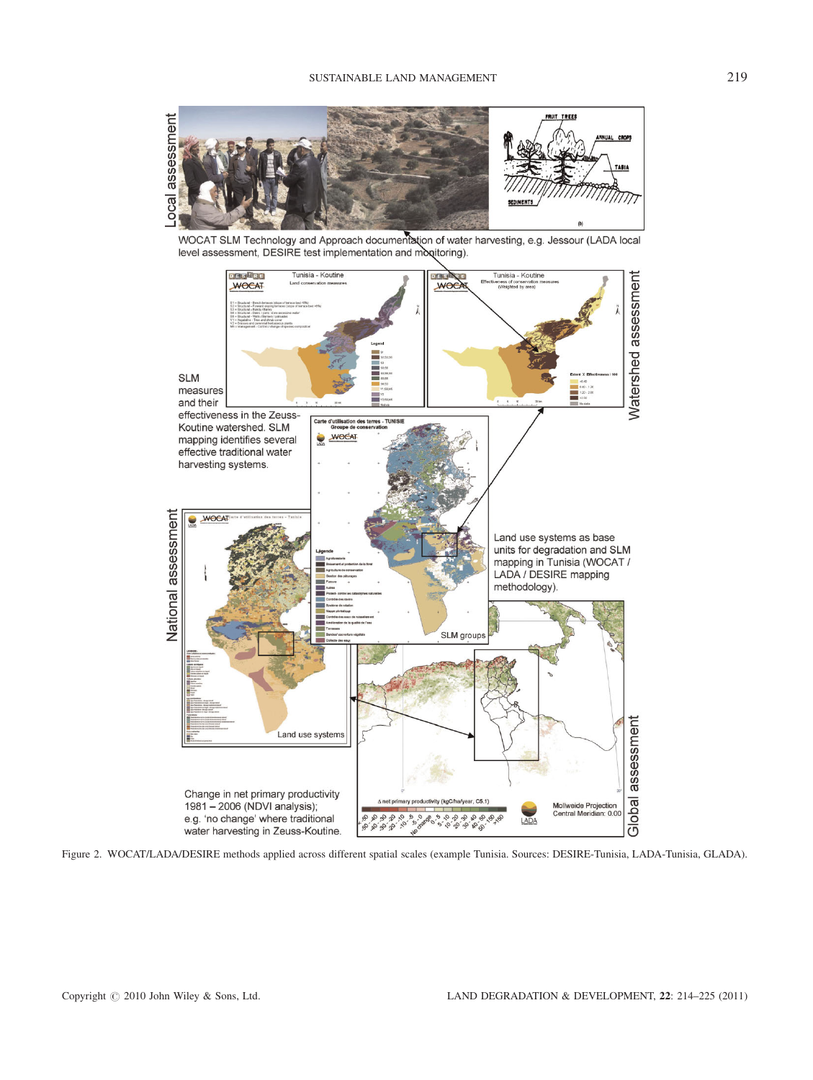

WOCAT SLM Technology and Approach documentation of water harvesting, e.g. Jessour (LADA local level assessment, DESIRE test implementation and monitoring).



Figure 2. WOCAT/LADA/DESIRE methods applied across different spatial scales (example Tunisia. Sources: DESIRE-Tunisia, LADA-Tunisia, GLADA).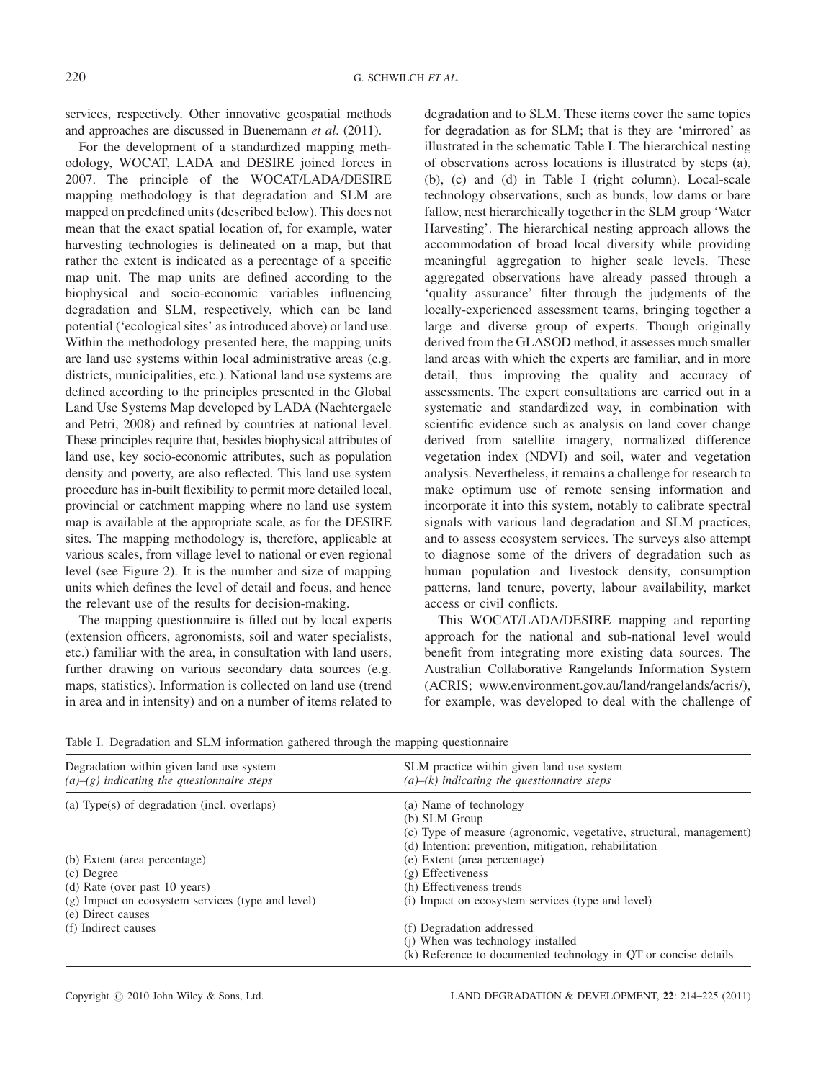services, respectively. Other innovative geospatial methods and approaches are discussed in Buenemann et al. (2011).

For the development of a standardized mapping methodology, WOCAT, LADA and DESIRE joined forces in 2007. The principle of the WOCAT/LADA/DESIRE mapping methodology is that degradation and SLM are mapped on predefined units (described below). This does not mean that the exact spatial location of, for example, water harvesting technologies is delineated on a map, but that rather the extent is indicated as a percentage of a specific map unit. The map units are defined according to the biophysical and socio-economic variables influencing degradation and SLM, respectively, which can be land potential ('ecological sites' as introduced above) or land use. Within the methodology presented here, the mapping units are land use systems within local administrative areas (e.g. districts, municipalities, etc.). National land use systems are defined according to the principles presented in the Global Land Use Systems Map developed by LADA (Nachtergaele and Petri, 2008) and refined by countries at national level. These principles require that, besides biophysical attributes of land use, key socio-economic attributes, such as population density and poverty, are also reflected. This land use system procedure has in-built flexibility to permit more detailed local, provincial or catchment mapping where no land use system map is available at the appropriate scale, as for the DESIRE sites. The mapping methodology is, therefore, applicable at various scales, from village level to national or even regional level (see Figure 2). It is the number and size of mapping units which defines the level of detail and focus, and hence the relevant use of the results for decision-making.

The mapping questionnaire is filled out by local experts (extension officers, agronomists, soil and water specialists, etc.) familiar with the area, in consultation with land users, further drawing on various secondary data sources (e.g. maps, statistics). Information is collected on land use (trend in area and in intensity) and on a number of items related to

degradation and to SLM. These items cover the same topics for degradation as for SLM; that is they are 'mirrored' as illustrated in the schematic Table I. The hierarchical nesting of observations across locations is illustrated by steps (a), (b), (c) and (d) in Table I (right column). Local-scale technology observations, such as bunds, low dams or bare fallow, nest hierarchically together in the SLM group 'Water Harvesting'. The hierarchical nesting approach allows the accommodation of broad local diversity while providing meaningful aggregation to higher scale levels. These aggregated observations have already passed through a 'quality assurance' filter through the judgments of the locally-experienced assessment teams, bringing together a large and diverse group of experts. Though originally derived from the GLASOD method, it assesses much smaller land areas with which the experts are familiar, and in more detail, thus improving the quality and accuracy of assessments. The expert consultations are carried out in a systematic and standardized way, in combination with scientific evidence such as analysis on land cover change derived from satellite imagery, normalized difference vegetation index (NDVI) and soil, water and vegetation analysis. Nevertheless, it remains a challenge for research to make optimum use of remote sensing information and incorporate it into this system, notably to calibrate spectral signals with various land degradation and SLM practices, and to assess ecosystem services. The surveys also attempt to diagnose some of the drivers of degradation such as human population and livestock density, consumption patterns, land tenure, poverty, labour availability, market access or civil conflicts.

This WOCAT/LADA/DESIRE mapping and reporting approach for the national and sub-national level would benefit from integrating more existing data sources. The Australian Collaborative Rangelands Information System (ACRIS; www.environment.gov.au/land/rangelands/acris/), for example, was developed to deal with the challenge of

| Table I. Degradation and SLM information gathered through the mapping questionnaire |  |  |  |
|-------------------------------------------------------------------------------------|--|--|--|
|                                                                                     |  |  |  |
|                                                                                     |  |  |  |

| Degradation within given land use system<br>$(a)$ – $(g)$ indicating the questionnaire steps | SLM practice within given land use system<br>$(a)$ – $(k)$ indicating the questionnaire steps |
|----------------------------------------------------------------------------------------------|-----------------------------------------------------------------------------------------------|
| (a) Type(s) of degradation (incl. overlaps)                                                  | (a) Name of technology                                                                        |
|                                                                                              | (b) SLM Group                                                                                 |
|                                                                                              | (c) Type of measure (agronomic, vegetative, structural, management)                           |
|                                                                                              | (d) Intention: prevention, mitigation, rehabilitation                                         |
| (b) Extent (area percentage)                                                                 | (e) Extent (area percentage)                                                                  |
| (c) Degree                                                                                   | (g) Effectiveness                                                                             |
| (d) Rate (over past 10 years)                                                                | (h) Effectiveness trends                                                                      |
| (g) Impact on ecosystem services (type and level)                                            | (i) Impact on ecosystem services (type and level)                                             |
| (e) Direct causes                                                                            |                                                                                               |
| (f) Indirect causes                                                                          | (f) Degradation addressed                                                                     |
|                                                                                              | (i) When was technology installed                                                             |
|                                                                                              | (k) Reference to documented technology in QT or concise details                               |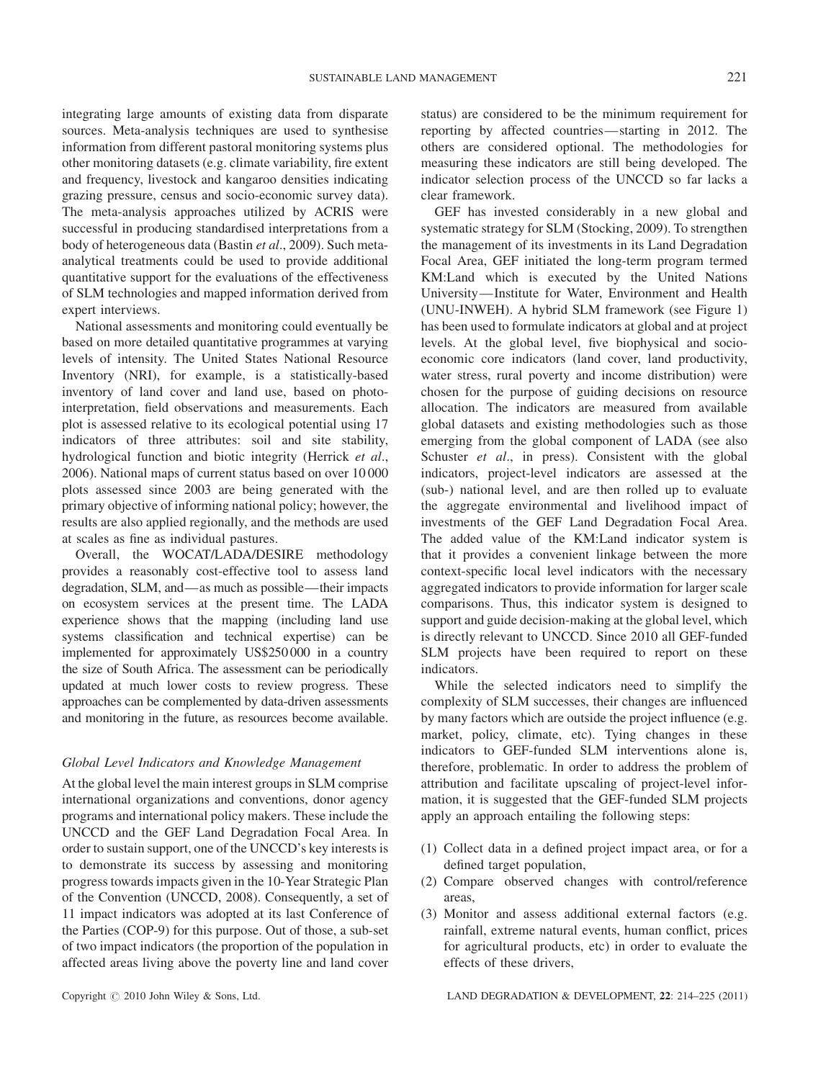integrating large amounts of existing data from disparate sources. Meta-analysis techniques are used to synthesise information from different pastoral monitoring systems plus other monitoring datasets (e.g. climate variability, fire extent and frequency, livestock and kangaroo densities indicating grazing pressure, census and socio-economic survey data). The meta-analysis approaches utilized by ACRIS were successful in producing standardised interpretations from a body of heterogeneous data (Bastin et al., 2009). Such metaanalytical treatments could be used to provide additional quantitative support for the evaluations of the effectiveness of SLM technologies and mapped information derived from expert interviews.

National assessments and monitoring could eventually be based on more detailed quantitative programmes at varying levels of intensity. The United States National Resource Inventory (NRI), for example, is a statistically-based inventory of land cover and land use, based on photointerpretation, field observations and measurements. Each plot is assessed relative to its ecological potential using 17 indicators of three attributes: soil and site stability, hydrological function and biotic integrity (Herrick et al., 2006). National maps of current status based on over 10 000 plots assessed since 2003 are being generated with the primary objective of informing national policy; however, the results are also applied regionally, and the methods are used at scales as fine as individual pastures.

Overall, the WOCAT/LADA/DESIRE methodology provides a reasonably cost-effective tool to assess land degradation, SLM, and—as much as possible—their impacts on ecosystem services at the present time. The LADA experience shows that the mapping (including land use systems classification and technical expertise) can be implemented for approximately US\$250 000 in a country the size of South Africa. The assessment can be periodically updated at much lower costs to review progress. These approaches can be complemented by data-driven assessments and monitoring in the future, as resources become available.

### Global Level Indicators and Knowledge Management

At the global level the main interest groups in SLM comprise international organizations and conventions, donor agency programs and international policy makers. These include the UNCCD and the GEF Land Degradation Focal Area. In order to sustain support, one of the UNCCD's key interests is to demonstrate its success by assessing and monitoring progress towards impacts given in the 10-Year Strategic Plan of the Convention (UNCCD, 2008). Consequently, a set of 11 impact indicators was adopted at its last Conference of the Parties (COP-9) for this purpose. Out of those, a sub-set of two impact indicators (the proportion of the population in affected areas living above the poverty line and land cover

status) are considered to be the minimum requirement for reporting by affected countries—starting in 2012. The others are considered optional. The methodologies for measuring these indicators are still being developed. The indicator selection process of the UNCCD so far lacks a clear framework.

GEF has invested considerably in a new global and systematic strategy for SLM (Stocking, 2009). To strengthen the management of its investments in its Land Degradation Focal Area, GEF initiated the long-term program termed KM:Land which is executed by the United Nations University— Institute for Water, Environment and Health (UNU-INWEH). A hybrid SLM framework (see Figure 1) has been used to formulate indicators at global and at project levels. At the global level, five biophysical and socioeconomic core indicators (land cover, land productivity, water stress, rural poverty and income distribution) were chosen for the purpose of guiding decisions on resource allocation. The indicators are measured from available global datasets and existing methodologies such as those emerging from the global component of LADA (see also Schuster *et al.*, in press). Consistent with the global indicators, project-level indicators are assessed at the (sub-) national level, and are then rolled up to evaluate the aggregate environmental and livelihood impact of investments of the GEF Land Degradation Focal Area. The added value of the KM:Land indicator system is that it provides a convenient linkage between the more context-specific local level indicators with the necessary aggregated indicators to provide information for larger scale comparisons. Thus, this indicator system is designed to support and guide decision-making at the global level, which is directly relevant to UNCCD. Since 2010 all GEF-funded SLM projects have been required to report on these indicators.

While the selected indicators need to simplify the complexity of SLM successes, their changes are influenced by many factors which are outside the project influence (e.g. market, policy, climate, etc). Tying changes in these indicators to GEF-funded SLM interventions alone is, therefore, problematic. In order to address the problem of attribution and facilitate upscaling of project-level information, it is suggested that the GEF-funded SLM projects apply an approach entailing the following steps:

- (1) Collect data in a defined project impact area, or for a defined target population,
- (2) Compare observed changes with control/reference areas,
- (3) Monitor and assess additional external factors (e.g. rainfall, extreme natural events, human conflict, prices for agricultural products, etc) in order to evaluate the effects of these drivers,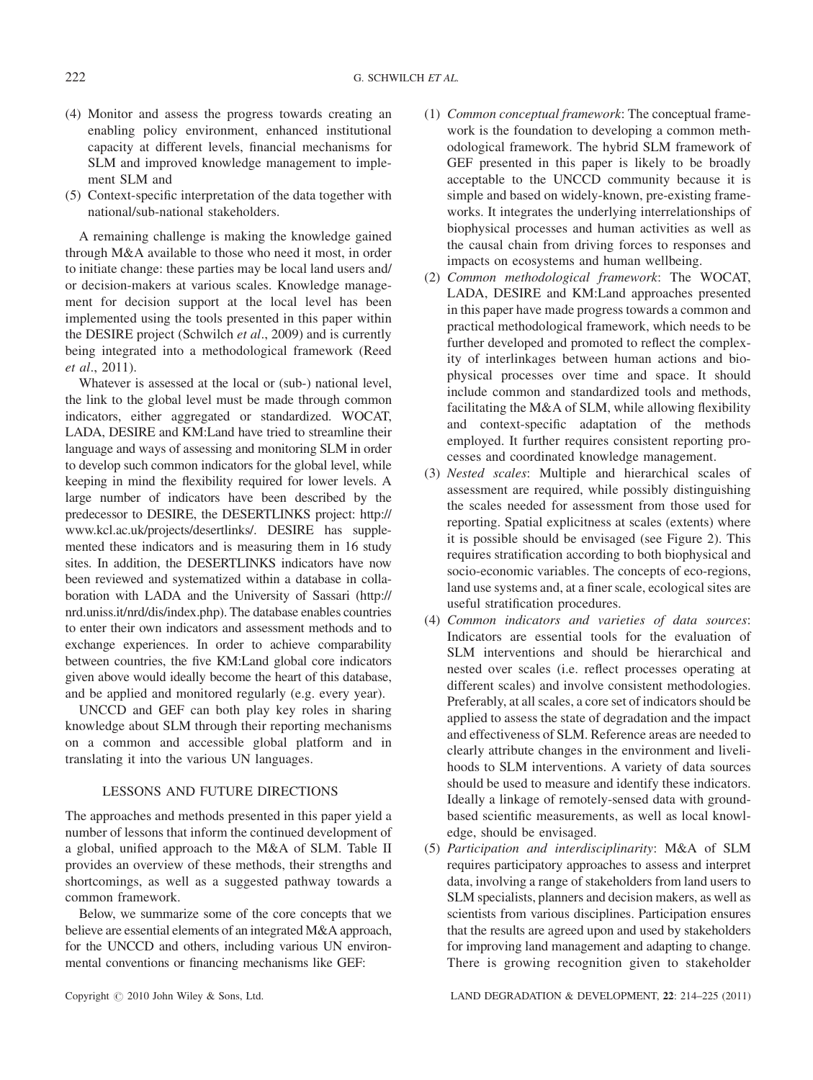- (4) Monitor and assess the progress towards creating an enabling policy environment, enhanced institutional capacity at different levels, financial mechanisms for SLM and improved knowledge management to implement SLM and
- (5) Context-specific interpretation of the data together with national/sub-national stakeholders.

A remaining challenge is making the knowledge gained through M&A available to those who need it most, in order to initiate change: these parties may be local land users and/ or decision-makers at various scales. Knowledge management for decision support at the local level has been implemented using the tools presented in this paper within the DESIRE project (Schwilch et al., 2009) and is currently being integrated into a methodological framework (Reed et al., 2011).

Whatever is assessed at the local or (sub-) national level, the link to the global level must be made through common indicators, either aggregated or standardized. WOCAT, LADA, DESIRE and KM:Land have tried to streamline their language and ways of assessing and monitoring SLM in order to develop such common indicators for the global level, while keeping in mind the flexibility required for lower levels. A large number of indicators have been described by the predecessor to DESIRE, the DESERTLINKS project: http:// www.kcl.ac.uk/projects/desertlinks/. DESIRE has supplemented these indicators and is measuring them in 16 study sites. In addition, the DESERTLINKS indicators have now been reviewed and systematized within a database in collaboration with LADA and the University of Sassari (http:// nrd.uniss.it/nrd/dis/index.php). The database enables countries to enter their own indicators and assessment methods and to exchange experiences. In order to achieve comparability between countries, the five KM:Land global core indicators given above would ideally become the heart of this database, and be applied and monitored regularly (e.g. every year).

UNCCD and GEF can both play key roles in sharing knowledge about SLM through their reporting mechanisms on a common and accessible global platform and in translating it into the various UN languages.

### LESSONS AND FUTURE DIRECTIONS

The approaches and methods presented in this paper yield a number of lessons that inform the continued development of a global, unified approach to the M&A of SLM. Table II provides an overview of these methods, their strengths and shortcomings, as well as a suggested pathway towards a common framework.

Below, we summarize some of the core concepts that we believe are essential elements of an integrated M&A approach, for the UNCCD and others, including various UN environmental conventions or financing mechanisms like GEF:

- (1) Common conceptual framework: The conceptual framework is the foundation to developing a common methodological framework. The hybrid SLM framework of GEF presented in this paper is likely to be broadly acceptable to the UNCCD community because it is simple and based on widely-known, pre-existing frameworks. It integrates the underlying interrelationships of biophysical processes and human activities as well as the causal chain from driving forces to responses and impacts on ecosystems and human wellbeing.
- (2) Common methodological framework: The WOCAT, LADA, DESIRE and KM:Land approaches presented in this paper have made progress towards a common and practical methodological framework, which needs to be further developed and promoted to reflect the complexity of interlinkages between human actions and biophysical processes over time and space. It should include common and standardized tools and methods, facilitating the M&A of SLM, while allowing flexibility and context-specific adaptation of the methods employed. It further requires consistent reporting processes and coordinated knowledge management.
- (3) Nested scales: Multiple and hierarchical scales of assessment are required, while possibly distinguishing the scales needed for assessment from those used for reporting. Spatial explicitness at scales (extents) where it is possible should be envisaged (see Figure 2). This requires stratification according to both biophysical and socio-economic variables. The concepts of eco-regions, land use systems and, at a finer scale, ecological sites are useful stratification procedures.
- (4) Common indicators and varieties of data sources: Indicators are essential tools for the evaluation of SLM interventions and should be hierarchical and nested over scales (i.e. reflect processes operating at different scales) and involve consistent methodologies. Preferably, at all scales, a core set of indicators should be applied to assess the state of degradation and the impact and effectiveness of SLM. Reference areas are needed to clearly attribute changes in the environment and livelihoods to SLM interventions. A variety of data sources should be used to measure and identify these indicators. Ideally a linkage of remotely-sensed data with groundbased scientific measurements, as well as local knowledge, should be envisaged.
- (5) Participation and interdisciplinarity: M&A of SLM requires participatory approaches to assess and interpret data, involving a range of stakeholders from land users to SLM specialists, planners and decision makers, as well as scientists from various disciplines. Participation ensures that the results are agreed upon and used by stakeholders for improving land management and adapting to change. There is growing recognition given to stakeholder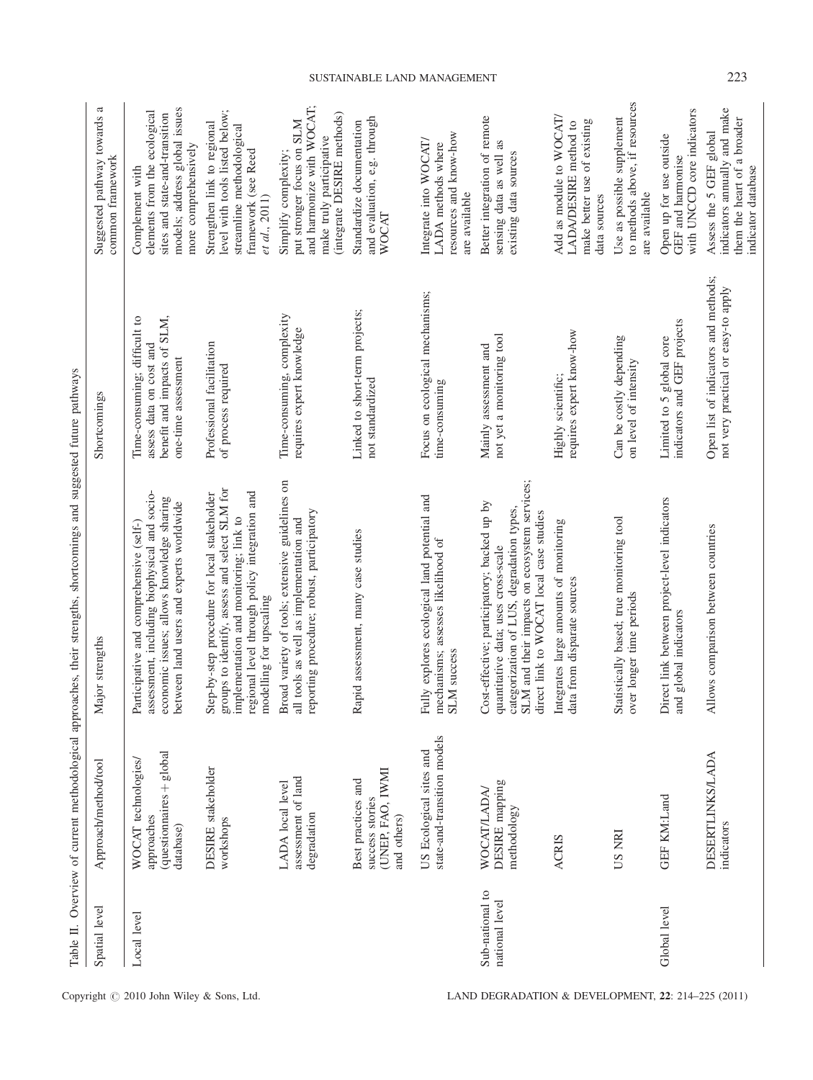| Spatial level                     | Approach/method/tool                                                         | Major strengths                                                                                                                                                                                                            | Shortcomings                                                                                                  | Suggested pathway towards a<br>common framework                                                                                            |
|-----------------------------------|------------------------------------------------------------------------------|----------------------------------------------------------------------------------------------------------------------------------------------------------------------------------------------------------------------------|---------------------------------------------------------------------------------------------------------------|--------------------------------------------------------------------------------------------------------------------------------------------|
| Local level                       | $(questiomaires + global)$<br>WOCAT technologies/<br>approaches<br>database) | assessment, including biophysical and socio-<br>economic issues; allows knowledge sharing<br>between land users and experts worldwide<br>Participative and comprehensive (self-)                                           | benefit and impacts of SLM,<br>Time-consuming; difficult to<br>assess data on cost and<br>one-time assessment | models; address global issues<br>elements from the ecological<br>sites and state-and-transition<br>more comprehensively<br>Complement with |
|                                   | <b>DESIRE</b> stakeholder<br>workshops                                       | groups to identify, assess and select SLM for<br>implementation and monitoring; link to<br>regional level through policy integration and<br>Step-by-step procedure for local stakeholder<br>modelling for upscaling        | Professional facilitation<br>of process required                                                              | level with tools listed below;<br>Strengthen link to regional<br>streamline methodological<br>framework (see Reed<br>et al., 2011)         |
|                                   | assessment of land<br><b>LADA</b> local level<br>degradation                 | Broad variety of tools; extensive guidelines on<br>reporting procedure; robust, participatory<br>all tools as well as implementation and                                                                                   | Time-consuming, complexity<br>requires expert knowledge                                                       | and harmonize with WOCAT;<br>(integrate DESIRE methods)<br>put stronger focus on SLM<br>make truly participative<br>Simplify complexity;   |
|                                   | (UNEP, FAO, IWMI<br>Best practices and<br>success stories<br>and others)     | Rapid assessment, many case studies                                                                                                                                                                                        | Linked to short-term projects;<br>not standardized                                                            | and evaluation, e.g. through<br>Standardize documentation<br>WOCAT                                                                         |
|                                   | state-and-transition models<br>US Ecological sites and                       | Fully explores ecological land potential and<br>mechanisms; assesses likelihood of<br>SLM success                                                                                                                          | Focus on ecological mechanisms;<br>time-consuming                                                             | resources and know-how<br>Integrate into WOCAT/<br>LADA methods where<br>are available                                                     |
| Sub-national to<br>national level | <b>DESIRE</b> mapping<br>WOCAT/LADA/<br>methodology                          | categorization of LUS, degradation types,<br>SLM and their impacts on ecosystem services;<br>Cost-effective; participatory; backed up by<br>direct link to WOCAT local case studies<br>quantitative data; uses cross-scale | not yet a monitoring tool<br>Mainly assessment and                                                            | Better integration of remote<br>sensing data as well as<br>existing data sources                                                           |
|                                   | <b>ACRIS</b>                                                                 | Integrates large amounts of monitoring<br>data from disparate sources                                                                                                                                                      | requires expert know-how<br>Highly scientific;                                                                | Add as module to WOCAT/<br>make better use of existing<br>LADA/DESIRE method to<br>data sources                                            |
|                                   | US NRI                                                                       | Statistically based; true monitoring tool<br>over longer time periods                                                                                                                                                      | Can be costly depending<br>on level of intensity                                                              | to methods above, if resources<br>Use as possible supplement<br>are available                                                              |
| Global level                      | GEF KM:Land                                                                  | Direct link between project-level indicators<br>and global indicators                                                                                                                                                      | indicators and GEF projects<br>Limited to 5 global core                                                       | with UNCCD core indicators<br>Open up for use outside<br>GEF and harmonise                                                                 |
|                                   | <b>DESERTLINKS/LADA</b><br>indicators                                        | Allows comparison between countries                                                                                                                                                                                        | Open list of indicators and methods;<br>not very practical or easy-to apply                                   | indicators annually and make<br>them the heart of a broader<br>Assess the 5 GEF global<br>indicator database                               |

Table II. Overview of current methodological approaches, their strengths, shortcomings and suggested future pathways Table II. Overview of current methodological approaches, their strengths, shortcomings and suggested future pathways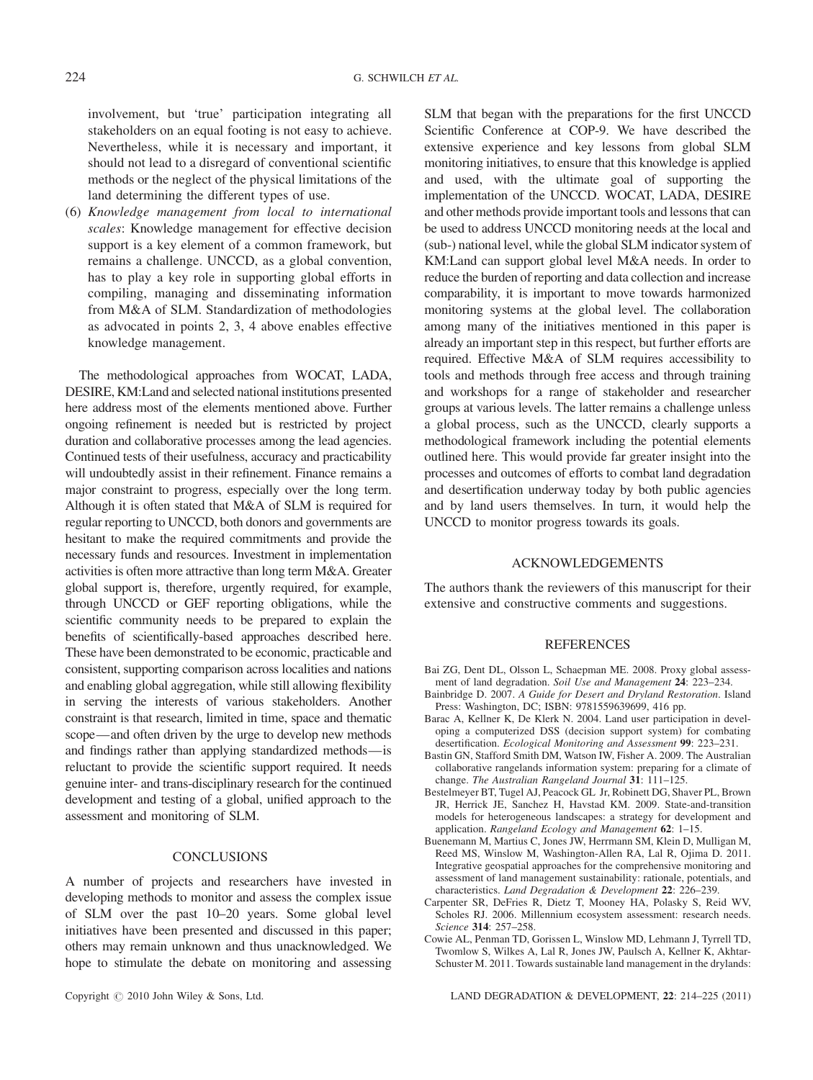involvement, but 'true' participation integrating all stakeholders on an equal footing is not easy to achieve. Nevertheless, while it is necessary and important, it should not lead to a disregard of conventional scientific methods or the neglect of the physical limitations of the land determining the different types of use.

(6) Knowledge management from local to international scales: Knowledge management for effective decision support is a key element of a common framework, but remains a challenge. UNCCD, as a global convention, has to play a key role in supporting global efforts in compiling, managing and disseminating information from M&A of SLM. Standardization of methodologies as advocated in points 2, 3, 4 above enables effective knowledge management.

The methodological approaches from WOCAT, LADA, DESIRE, KM:Land and selected national institutions presented here address most of the elements mentioned above. Further ongoing refinement is needed but is restricted by project duration and collaborative processes among the lead agencies. Continued tests of their usefulness, accuracy and practicability will undoubtedly assist in their refinement. Finance remains a major constraint to progress, especially over the long term. Although it is often stated that M&A of SLM is required for regular reporting to UNCCD, both donors and governments are hesitant to make the required commitments and provide the necessary funds and resources. Investment in implementation activities is often more attractive than long term M&A. Greater global support is, therefore, urgently required, for example, through UNCCD or GEF reporting obligations, while the scientific community needs to be prepared to explain the benefits of scientifically-based approaches described here. These have been demonstrated to be economic, practicable and consistent, supporting comparison across localities and nations and enabling global aggregation, while still allowing flexibility in serving the interests of various stakeholders. Another constraint is that research, limited in time, space and thematic scope—and often driven by the urge to develop new methods and findings rather than applying standardized methods—is reluctant to provide the scientific support required. It needs genuine inter- and trans-disciplinary research for the continued development and testing of a global, unified approach to the assessment and monitoring of SLM.

### **CONCLUSIONS**

A number of projects and researchers have invested in developing methods to monitor and assess the complex issue of SLM over the past 10–20 years. Some global level initiatives have been presented and discussed in this paper; others may remain unknown and thus unacknowledged. We hope to stimulate the debate on monitoring and assessing

SLM that began with the preparations for the first UNCCD Scientific Conference at COP-9. We have described the extensive experience and key lessons from global SLM monitoring initiatives, to ensure that this knowledge is applied and used, with the ultimate goal of supporting the implementation of the UNCCD. WOCAT, LADA, DESIRE and other methods provide important tools and lessons that can be used to address UNCCD monitoring needs at the local and (sub-) national level, while the global SLM indicator system of KM:Land can support global level M&A needs. In order to reduce the burden of reporting and data collection and increase comparability, it is important to move towards harmonized monitoring systems at the global level. The collaboration among many of the initiatives mentioned in this paper is already an important step in this respect, but further efforts are required. Effective M&A of SLM requires accessibility to tools and methods through free access and through training and workshops for a range of stakeholder and researcher groups at various levels. The latter remains a challenge unless a global process, such as the UNCCD, clearly supports a methodological framework including the potential elements outlined here. This would provide far greater insight into the processes and outcomes of efforts to combat land degradation and desertification underway today by both public agencies and by land users themselves. In turn, it would help the UNCCD to monitor progress towards its goals.

#### ACKNOWLEDGEMENTS

The authors thank the reviewers of this manuscript for their extensive and constructive comments and suggestions.

### REFERENCES

- Bai ZG, Dent DL, Olsson L, Schaepman ME. 2008. Proxy global assessment of land degradation. Soil Use and Management 24: 223–234.
- Bainbridge D. 2007. A Guide for Desert and Dryland Restoration. Island Press: Washington, DC; ISBN: 9781559639699, 416 pp.
- Barac A, Kellner K, De Klerk N. 2004. Land user participation in developing a computerized DSS (decision support system) for combating desertification. Ecological Monitoring and Assessment 99: 223–231.
- Bastin GN, Stafford Smith DM, Watson IW, Fisher A. 2009. The Australian collaborative rangelands information system: preparing for a climate of change. The Australian Rangeland Journal 31: 111–125.
- Bestelmeyer BT, Tugel AJ, Peacock GL Jr, Robinett DG, Shaver PL, Brown JR, Herrick JE, Sanchez H, Havstad KM. 2009. State-and-transition models for heterogeneous landscapes: a strategy for development and application. Rangeland Ecology and Management 62: 1–15.
- Buenemann M, Martius C, Jones JW, Herrmann SM, Klein D, Mulligan M, Reed MS, Winslow M, Washington-Allen RA, Lal R, Ojima D. 2011. Integrative geospatial approaches for the comprehensive monitoring and assessment of land management sustainability: rationale, potentials, and characteristics. Land Degradation & Development 22: 226–239.
- Carpenter SR, DeFries R, Dietz T, Mooney HA, Polasky S, Reid WV, Scholes RJ. 2006. Millennium ecosystem assessment: research needs. Science 314: 257–258.
- Cowie AL, Penman TD, Gorissen L, Winslow MD, Lehmann J, Tyrrell TD, Twomlow S, Wilkes A, Lal R, Jones JW, Paulsch A, Kellner K, Akhtar-Schuster M. 2011. Towards sustainable land management in the drylands:

Copyright  $\odot$  2010 John Wiley & Sons, Ltd. LAND DEGRADATION & DEVELOPMENT, 22: 214–225 (2011)